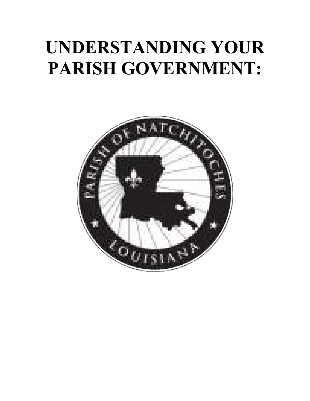# **UNDERSTANDING YOUR PARISH GOVERNMENT:**

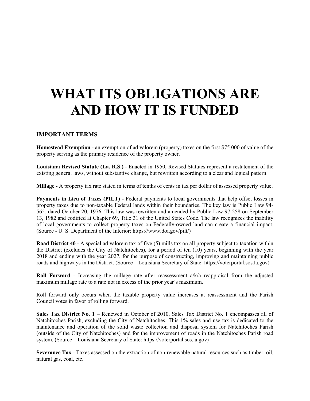# **WHAT ITS OBLIGATIONS ARE AND HOW IT IS FUNDED**

# **IMPORTANT TERMS**

**Homestead Exemption** - an exemption of ad valorem (property) taxes on the first \$75,000 of value of the property serving as the primary residence of the property owner.

**Louisiana Revised Statute (La. R.S.)** - Enacted in 1950, Revised Statutes represent a restatement of the existing general laws, without substantive change, but rewritten according to a clear and logical pattern.

**Millage** - A property tax rate stated in terms of tenths of cents in tax per dollar of assessed property value.

**Payments in Lieu of Taxes (PILT)** - Federal payments to local governments that help offset losses in property taxes due to non-taxable Federal lands within their boundaries. The key law is Public Law 94- 565, dated October 20, 1976. This law was rewritten and amended by Public Law 97-258 on September 13, 1982 and codified at Chapter 69, Title 31 of the United States Code. The law recognizes the inability of local governments to collect property taxes on Federally-owned land can create a financial impact. (Source - U. S. Department of the Interior: https://www.doi.gov/pilt/)

**Road District 40** - A special ad valorem tax of five (5) mills tax on all property subject to taxation within the District (excludes the City of Natchitoches), for a period of ten (10) years, beginning with the year 2018 and ending with the year 2027, for the purpose of constructing, improving and maintaining public roads and highways in the District. (Source – Louisiana Secretary of State: https://voterportal.sos.la.gov)

**Roll Forward** - Increasing the millage rate after reassessment a/k/a reappraisal from the adjusted maximum millage rate to a rate not in excess of the prior year's maximum.

Roll forward only occurs when the taxable property value increases at reassessment and the Parish Council votes in favor of rolling forward.

**Sales Tax District No. 1** – Renewed in October of 2010, Sales Tax District No. 1 encompasses all of Natchitoches Parish, excluding the City of Natchitoches. This 1% sales and use tax is dedicated to the maintenance and operation of the solid waste collection and disposal system for Natchitoches Parish (outside of the City of Natchitoches) and for the improvement of roads in the Natchitoches Parish road system. (Source – Louisiana Secretary of State: https://voterportal.sos.la.gov)

**Severance Tax** - Taxes assessed on the extraction of non-renewable natural resources such as timber, oil, natural gas, coal, etc.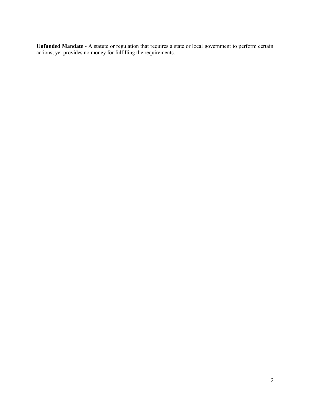**Unfunded Mandate** - A statute or regulation that requires a state or local government to perform certain actions, yet provides no money for fulfilling the requirements.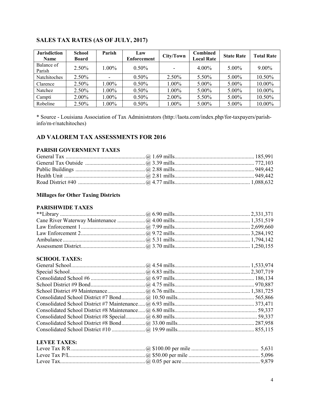| <b>Jurisdiction</b><br><b>Name</b> | <b>School</b><br><b>Board</b> | Parish   | Law<br>Enforcement | City/Town                | <b>Combined</b><br><b>Local Rate</b> | <b>State Rate</b> | <b>Total Rate</b> |
|------------------------------------|-------------------------------|----------|--------------------|--------------------------|--------------------------------------|-------------------|-------------------|
| Balance of<br>Parish               | 2.50%                         | $1.00\%$ | $0.50\%$           | $\overline{\phantom{a}}$ | $4.00\%$                             | $5.00\%$          | $9.00\%$          |
| Natchitoches                       | 2.50%                         |          | 0.50%              | $2.50\%$                 | 5.50%                                | $5.00\%$          | 10.50%            |
| Clarence                           | 2.50%                         | $1.00\%$ | 0.50%              | $1.00\%$                 | 5.00%                                | 5.00%             | 10.00%            |
| <b>Natchez</b>                     | 2.50%                         | $1.00\%$ | $0.50\%$           | $1.00\%$                 | $5.00\%$                             | $5.00\%$          | 10.00%            |
| Campti                             | 2.00%                         | $1.00\%$ | 0.50%              | 2.00%                    | 5.50%                                | $5.00\%$          | 10.50%            |
| Robeline                           | 2.50%                         | $1.00\%$ | 0.50%              | $1.00\%$                 | 5.00%                                | $5.00\%$          | 10.00%            |

# **SALES TAX RATES (AS OF JULY, 2017)**

\* Source - Louisiana Association of Tax Administrators (http://laota.com/index.php/for-taxpayers/parishinfo/m-r/natchitoches)

# **AD VALOREM TAX ASSESSMENTS FOR 2016**

# **PARISH GOVERNMENT TAXES**

# **Millages for Other Taxing Districts**

# **PARISHWIDE TAXES**

# **SCHOOL TAXES:**

# **LEVEE TAXES:**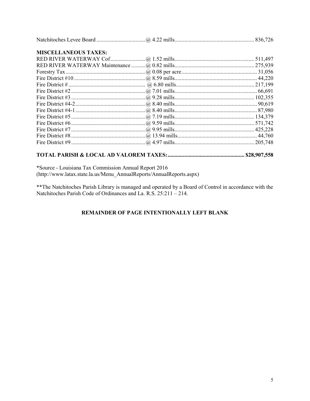| <b>MISCELLANEOUS TAXES:</b> |  |
|-----------------------------|--|
|                             |  |
|                             |  |
|                             |  |
|                             |  |
|                             |  |
|                             |  |
|                             |  |
|                             |  |
|                             |  |
|                             |  |
|                             |  |
|                             |  |
|                             |  |
|                             |  |
|                             |  |

# **TOTAL PARISH & LOCAL AD VALOREM TAXES:....................................................... \$28,907,558**

\*Source - Louisiana Tax Commission Annual Report 2016 (http://www.latax.state.la.us/Menu\_AnnualReports/AnnualReports.aspx)

\*\*The Natchitoches Parish Library is managed and operated by a Board of Control in accordance with the Natchitoches Parish Code of Ordinances and La. R.S. 25:211 – 214.

# **REMAINDER OF PAGE INTENTIONALLY LEFT BLANK**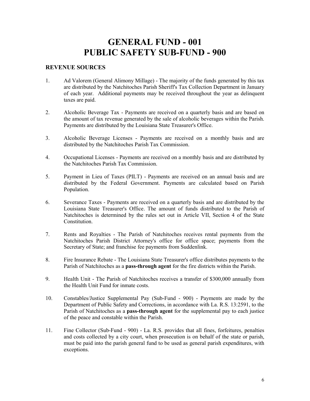# **GENERAL FUND - 001 PUBLIC SAFETY SUB-FUND - 900**

- 1. Ad Valorem (General Alimony Millage) The majority of the funds generated by this tax are distributed by the Natchitoches Parish Sheriff's Tax Collection Department in January of each year. Additional payments may be received throughout the year as delinquent taxes are paid.
- 2. Alcoholic Beverage Tax Payments are received on a quarterly basis and are based on the amount of tax revenue generated by the sale of alcoholic beverages within the Parish. Payments are distributed by the Louisiana State Treasurer's Office.
- 3. Alcoholic Beverage Licenses Payments are received on a monthly basis and are distributed by the Natchitoches Parish Tax Commission.
- 4. Occupational Licenses Payments are received on a monthly basis and are distributed by the Natchitoches Parish Tax Commission.
- 5. Payment in Lieu of Taxes (PILT) Payments are received on an annual basis and are distributed by the Federal Government. Payments are calculated based on Parish Population.
- 6. Severance Taxes Payments are received on a quarterly basis and are distributed by the Louisiana State Treasurer's Office. The amount of funds distributed to the Parish of Natchitoches is determined by the rules set out in Article VII, Section 4 of the State Constitution.
- 7. Rents and Royalties The Parish of Natchitoches receives rental payments from the Natchitoches Parish District Attorney's office for office space; payments from the Secretary of State; and franchise fee payments from Suddenlink.
- 8. Fire Insurance Rebate The Louisiana State Treasurer's office distributes payments to the Parish of Natchitoches as a **pass-through agent** for the fire districts within the Parish.
- 9. Health Unit The Parish of Natchitoches receives a transfer of \$300,000 annually from the Health Unit Fund for inmate costs.
- 10. Constables/Justice Supplemental Pay (Sub-Fund 900) Payments are made by the Department of Public Safety and Corrections, in accordance with La. R.S. 13:2591, to the Parish of Natchitoches as a **pass-through agent** for the supplemental pay to each justice of the peace and constable within the Parish.
- 11. Fine Collector (Sub-Fund 900) La. R.S. provides that all fines, forfeitures, penalties and costs collected by a city court, when prosecution is on behalf of the state or parish, must be paid into the parish general fund to be used as general parish expenditures, with exceptions.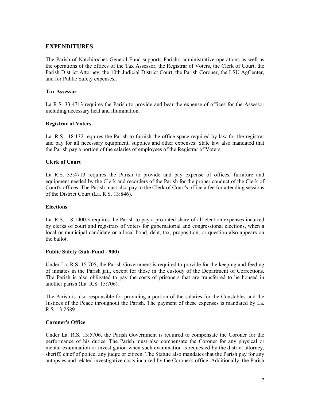# **EXPENDITURES**

The Parish of Natchitoches General Fund supports Parish's administrative operations as well as the operations of the offices of the Tax Assessor, the Registrar of Voters, the Clerk of Court, the Parish District Attorney, the 10th Judicial District Court, the Parish Coroner, the LSU AgCenter, and for Public Safety expenses,.

# **Tax Assessor**

La R.S. 33:4713 requires the Parish to provide and bear the expense of offices for the Assessor including necessary heat and illumination.

# **Registrar of Voters**

La. R.S. 18:132 requires the Parish to furnish the office space required by law for the registrar and pay for all necessary equipment, supplies and other expenses. State law also mandated that the Parish pay a portion of the salaries of employees of the Registrar of Voters.

# **Clerk of Court**

La R.S. 33:4713 requires the Parish to provide and pay expense of offices, furniture and equipment needed by the Clerk and recorders of the Parish for the proper conduct of the Clerk of Court's offices. The Parish must also pay to the Clerk of Court's office a fee for attending sessions of the District Court (La. R.S. 13:846).

### **Elections**

La. R.S. 18:1400.3 requires the Parish to pay a pro-rated share of all election expenses incurred by clerks of court and registrars of voters for gubernatorial and congressional elections, when a local or municipal candidate or a local bond, debt, tax, proposition, or question also appears on the ballot.

### **Public Safety (Sub-Fund - 900)**

Under La. R.S. 15:705, the Parish Government is required to provide for the keeping and feeding of inmates in the Parish jail, except for those in the custody of the Department of Corrections. The Parish is also obligated to pay the costs of prisoners that are transferred to be housed in another parish (La. R.S. 15:706).

The Parish is also responsible for providing a portion of the salaries for the Constables and the Justices of the Peace throughout the Parish. The payment of these expenses is mandated by La. R.S. 13:2589.

### **Coroner's Office**

Under La. R.S. 13:5706, the Parish Government is required to compensate the Coroner for the performance of his duties. The Parish must also compensate the Coroner for any physical or mental examination or investigation when such examination is requested by the district attorney, sheriff, chief of police, any judge or citizen. The Statute also mandates that the Parish pay for any autopsies and related investigative costs incurred by the Coroner's office. Additionally, the Parish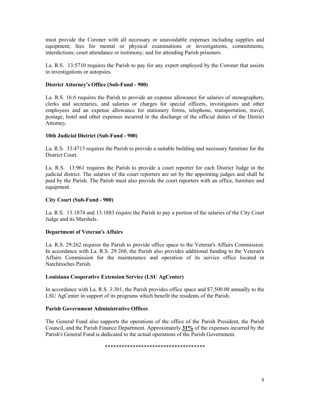must provide the Coroner with all necessary or unavoidable expenses including supplies and equipment; fees for mental or physical examinations or investigations, commitments, interdictions; court attendance or testimony; and for attending Parish prisoners.

La. R.S. 13:5710 requires the Parish to pay for any expert employed by the Coroner that assists in investigations or autopsies.

### **District Attorney's Office (Sub-Fund - 900)**

La. R.S. 16:6 requires the Parish to provide an expense allowance for salaries of stenographers, clerks and secretaries, and salaries or charges for special officers, investigators and other employees and an expense allowance for stationery forms, telephone, transportation, travel, postage, hotel and other expenses incurred in the discharge of the official duties of the District Attorney.

# **10th Judicial District (Sub-Fund - 900)**

La. R.S. 33:4713 requires the Parish to provide a suitable building and necessary furniture for the District Court.

La. R.S. 13:961 requires the Parish to provide a court reporter for each District Judge in the judicial district. The salaries of the court reporters are set by the appointing judges and shall be paid by the Parish. The Parish must also provide the court reporters with an office, furniture and equipment.

### **City Court (Sub-Fund - 900)**

La. R.S. 13:1874 and 13:1883 require the Parish to pay a portion of the salaries of the City Court Judge and its Marshals.

### **Department of Veteran's Affairs**

La. R.S. 29:262 requires the Parish to provide office space to the Veteran's Affairs Commission. In accordance with La. R.S. 29:260, the Parish also provides additional funding to the Veteran's Affairs Commission for the maintenance and operation of its service office located in Natchitoches Parish.

### **Louisiana Cooperative Extension Service (LSU AgCenter)**

In accordance with La. R.S. 3:301, the Parish provides office space and \$7,500.00 annually to the LSU AgCenter in support of its programs which benefit the residents of the Parish.

### **Parish Government Administrative Offices**

The General Fund also supports the operations of the office of the Parish President, the Parish Council, and the Parish Finance Department. Approximately **31%** of the expenses incurred by the Parish's General Fund is dedicated to the actual operations of the Parish Government.

#### \*\*\*\*\*\*\*\*\*\*\*\*\*\*\*\*\*\*\*\*\*\*\*\*\*\*\*\*\*\*\*\*\*\*\*\*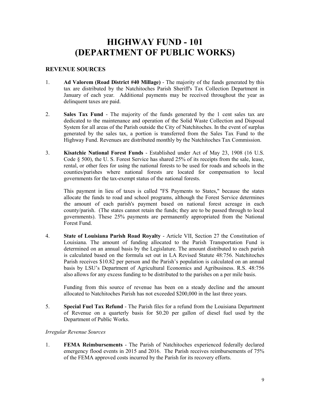# **HIGHWAY FUND - 101 (DEPARTMENT OF PUBLIC WORKS)**

# **REVENUE SOURCES**

- 1. **Ad Valorem (Road District #40 Millage)** The majority of the funds generated by this tax are distributed by the Natchitoches Parish Sheriff's Tax Collection Department in January of each year. Additional payments may be received throughout the year as delinquent taxes are paid.
- 2. **Sales Tax Fund** The majority of the funds generated by the 1 cent sales tax are dedicated to the maintenance and operation of the Solid Waste Collection and Disposal System for all areas of the Parish outside the City of Natchitoches. In the event of surplus generated by the sales tax, a portion is transferred from the Sales Tax Fund to the Highway Fund. Revenues are distributed monthly by the Natchitoches Tax Commission.
- 3. **Kisatchie National Forest Funds** Established under Act of May 23, 1908 (16 U.S. Code § 500), the U. S. Forest Service has shared 25% of its receipts from the sale, lease, rental, or other fees for using the national forests to be used for roads and schools in the counties/parishes where national forests are located for compensation to local governments for the tax-exempt status of the national forests.

This payment in lieu of taxes is called "FS Payments to States," because the states allocate the funds to road and school programs, although the Forest Service determines the amount of each parish's payment based on national forest acreage in each county/parish. (The states cannot retain the funds; they are to be passed through to local governments). These 25% payments are permanently appropriated from the National Forest Fund.

4. **State of Louisiana Parish Road Royalty** - Article VII, Section 27 the Constitution of Louisiana. The amount of funding allocated to the Parish Transportation Fund is determined on an annual basis by the Legislature. The amount distributed to each parish is calculated based on the formula set out in LA Revised Statute 48:756. Natchitoches Parish receives \$10.82 per person and the Parish's population is calculated on an annual basis by LSU's Department of Agricultural Economics and Agribusiness. R.S. 48:756 also allows for any excess funding to be distributed to the parishes on a per mile basis.

Funding from this source of revenue has been on a steady decline and the amount allocated to Natchitoches Parish has not exceeded \$200,000 in the last three years.

5. **Special Fuel Tax Refund** - The Parish files for a refund from the Louisiana Department of Revenue on a quarterly basis for \$0.20 per gallon of diesel fuel used by the Department of Public Works.

### *Irregular Revenue Sources*

1. **FEMA Reimbursements** - The Parish of Natchitoches experienced federally declared emergency flood events in 2015 and 2016. The Parish receives reimbursements of 75% of the FEMA approved costs incurred by the Parish for its recovery efforts.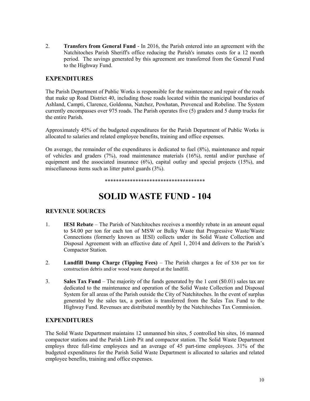2. **Transfers from General Fund** - In 2016, the Parish entered into an agreement with the Natchitoches Parish Sheriff's office reducing the Parish's inmates costs for a 12 month period. The savings generated by this agreement are transferred from the General Fund to the Highway Fund.

# **EXPENDITURES**

The Parish Department of Public Works is responsible for the maintenance and repair of the roads that make up Road District 40, including those roads located within the municipal boundaries of Ashland, Campti, Clarence, Goldonna, Natchez, Powhatan, Provencal and Robeline. The System currently encompasses over 975 roads. The Parish operates five (5) graders and 5 dump trucks for the entire Parish.

Approximately 45% of the budgeted expenditures for the Parish Department of Public Works is allocated to salaries and related employee benefits, training and office expenses.

On average, the remainder of the expenditures is dedicated to fuel (8%), maintenance and repair of vehicles and graders (7%), road maintenance materials (16%), rental and/or purchase of equipment and the associated insurance (6%), capital outlay and special projects (15%), and miscellaneous items such as litter patrol guards (3%).

\*\*\*\*\*\*\*\*\*\*\*\*\*\*\*\*\*\*\*\*\*\*\*\*\*\*\*\*\*\*\*\*\*\*\*\*

# **SOLID WASTE FUND - 104**

# **REVENUE SOURCES**

- 1. **IESI Rebate** The Parish of Natchitoches receives a monthly rebate in an amount equal to \$4.00 per ton for each ton of MSW or Bulky Waste that Progressive Waste/Waste Connections (formerly known as IESI) collects under its Solid Waste Collection and Disposal Agreement with an effective date of April 1, 2014 and delivers to the Parish's Compactor Station.
- 2. **Landfill Dump Charge (Tipping Fees)** The Parish charges a fee of \$36 per ton for construction debris and/or wood waste dumped at the landfill.
- 3. **Sales Tax Fund** The majority of the funds generated by the 1 cent (\$0.01) sales tax are dedicated to the maintenance and operation of the Solid Waste Collection and Disposal System for all areas of the Parish outside the City of Natchitoches. In the event of surplus generated by the sales tax, a portion is transferred from the Sales Tax Fund to the Highway Fund. Revenues are distributed monthly by the Natchitoches Tax Commission.

# **EXPENDITURES**

The Solid Waste Department maintains 12 unmanned bin sites, 5 controlled bin sites, 16 manned compactor stations and the Parish Limb Pit and compactor station. The Solid Waste Department employs three full-time employees and an average of 45 part-time employees. 31% of the budgeted expenditures for the Parish Solid Waste Department is allocated to salaries and related employee benefits, training and office expenses.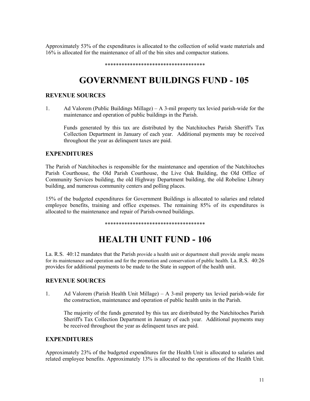Approximately 53% of the expenditures is allocated to the collection of solid waste materials and 16% is allocated for the maintenance of all of the bin sites and compactor stations.

#### \*\*\*\*\*\*\*\*\*\*\*\*\*\*\*\*\*\*\*\*\*\*\*\*\*\*\*\*\*\*\*\*\*\*\*\*

# **GOVERNMENT BUILDINGS FUND - 105**

# **REVENUE SOURCES**

1. Ad Valorem (Public Buildings Millage) – A 3-mil property tax levied parish-wide for the maintenance and operation of public buildings in the Parish.

Funds generated by this tax are distributed by the Natchitoches Parish Sheriff's Tax Collection Department in January of each year. Additional payments may be received throughout the year as delinquent taxes are paid.

# **EXPENDITURES**

The Parish of Natchitoches is responsible for the maintenance and operation of the Natchitoches Parish Courthouse, the Old Parish Courthouse, the Live Oak Building, the Old Office of Community Services building, the old Highway Department building, the old Robeline Library building, and numerous community centers and polling places.

15% of the budgeted expenditures for Government Buildings is allocated to salaries and related employee benefits, training and office expenses. The remaining 85% of its expenditures is allocated to the maintenance and repair of Parish-owned buildings.

\*\*\*\*\*\*\*\*\*\*\*\*\*\*\*\*\*\*\*\*\*\*\*\*\*\*\*\*\*\*\*\*\*\*\*\*

# **HEALTH UNIT FUND - 106**

La. R.S. 40:12 mandates that the Parish provide a health unit or department shall provide ample means for its maintenance and operation and for the promotion and conservation of public health. La. R.S. 40:26 provides for additional payments to be made to the State in support of the health unit.

# **REVENUE SOURCES**

1. Ad Valorem (Parish Health Unit Millage) – A 3-mil property tax levied parish-wide for the construction, maintenance and operation of public health units in the Parish.

The majority of the funds generated by this tax are distributed by the Natchitoches Parish Sheriff's Tax Collection Department in January of each year. Additional payments may be received throughout the year as delinquent taxes are paid.

### **EXPENDITURES**

Approximately 23% of the budgeted expenditures for the Health Unit is allocated to salaries and related employee benefits. Approximately 13% is allocated to the operations of the Health Unit.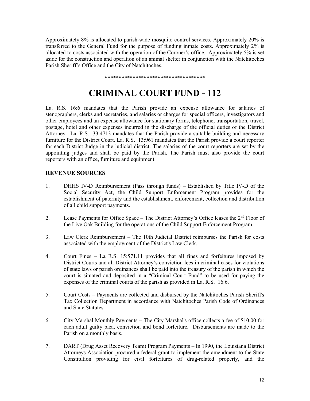Approximately 8% is allocated to parish-wide mosquito control services. Approximately 20% is transferred to the General Fund for the purpose of funding inmate costs. Approximately 2% is allocated to costs associated with the operation of the Coroner's office. Approximately 5% is set aside for the construction and operation of an animal shelter in conjunction with the Natchitoches Parish Sheriff's Office and the City of Natchitoches.

#### \*\*\*\*\*\*\*\*\*\*\*\*\*\*\*\*\*\*\*\*\*\*\*\*\*\*\*\*\*\*\*\*\*\*\*\*

# **CRIMINAL COURT FUND - 112**

La. R.S. 16:6 mandates that the Parish provide an expense allowance for salaries of stenographers, clerks and secretaries, and salaries or charges for special officers, investigators and other employees and an expense allowance for stationary forms, telephone, transportation, travel, postage, hotel and other expenses incurred in the discharge of the official duties of the District Attorney. La. R.S. 33:4713 mandates that the Parish provide a suitable building and necessary furniture for the District Court. La. R.S. 13:961 mandates that the Parish provide a court reporter for each District Judge in the judicial district. The salaries of the court reporters are set by the appointing judges and shall be paid by the Parish. The Parish must also provide the court reporters with an office, furniture and equipment.

- 1. DHHS IV-D Reimbursement (Pass through funds) Established by Title IV-D of the Social Security Act, the Child Support Enforcement Program provides for the establishment of paternity and the establishment, enforcement, collection and distribution of all child support payments.
- 2. Lease Payments for Office Space The District Attorney's Office leases the 2<sup>nd</sup> Floor of the Live Oak Building for the operations of the Child Support Enforcement Program.
- 3. Law Clerk Reimbursement The 10th Judicial District reimburses the Parish for costs associated with the employment of the District's Law Clerk.
- 4. Court Fines La R.S. 15:571.11 provides that all fines and forfeitures imposed by District Courts and all District Attorney's conviction fees in criminal cases for violations of state laws or parish ordinances shall be paid into the treasury of the parish in which the court is situated and deposited in a "Criminal Court Fund" to be used for paying the expenses of the criminal courts of the parish as provided in La. R.S. 16:6.
- 5. Court Costs Payments are collected and disbursed by the Natchitoches Parish Sheriff's Tax Collection Department in accordance with Natchitoches Parish Code of Ordinances and State Statutes.
- 6. City Marshal Monthly Payments The City Marshal's office collects a fee of \$10.00 for each adult guilty plea, conviction and bond forfeiture. Disbursements are made to the Parish on a monthly basis.
- 7. DART (Drug Asset Recovery Team) Program Payments In 1990, the Louisiana District Attorneys Association procured a federal grant to implement the amendment to the State Constitution providing for civil forfeitures of drug-related property, and the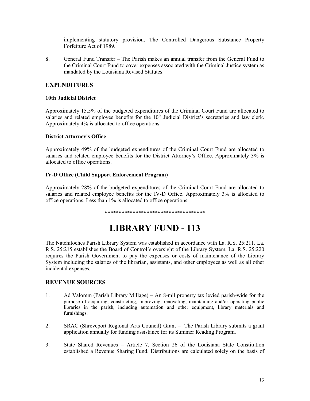implementing statutory provision, The Controlled Dangerous Substance Property Forfeiture Act of 1989.

8. General Fund Transfer – The Parish makes an annual transfer from the General Fund to the Criminal Court Fund to cover expenses associated with the Criminal Justice system as mandated by the Louisiana Revised Statutes.

# **EXPENDITURES**

### **10th Judicial District**

Approximately 15.5% of the budgeted expenditures of the Criminal Court Fund are allocated to salaries and related employee benefits for the 10<sup>th</sup> Judicial District's secretaries and law clerk. Approximately 4% is allocated to office operations.

# **District Attorney's Office**

Approximately 49% of the budgeted expenditures of the Criminal Court Fund are allocated to salaries and related employee benefits for the District Attorney's Office. Approximately 3% is allocated to office operations.

# **IV-D Office (Child Support Enforcement Program)**

Approximately 28% of the budgeted expenditures of the Criminal Court Fund are allocated to salaries and related employee benefits for the IV-D Office. Approximately 3% is allocated to office operations. Less than 1% is allocated to office operations.

#### \*\*\*\*\*\*\*\*\*\*\*\*\*\*\*\*\*\*\*\*\*\*\*\*\*\*\*\*\*\*\*\*\*\*\*\*

# **LIBRARY FUND - 113**

The Natchitoches Parish Library System was established in accordance with La. R.S. 25:211. La. R.S. 25:215 establishes the Board of Control's oversight of the Library System. La. R.S. 25:220 requires the Parish Government to pay the expenses or costs of maintenance of the Library System including the salaries of the librarian, assistants, and other employees as well as all other incidental expenses.

- 1. Ad Valorem (Parish Library Millage) An 8-mil property tax levied parish-wide for the purpose of acquiring, constructing, improving, renovating, maintaining and/or operating public libraries in the parish, including automation and other equipment, library materials and furnishings.
- 2. SRAC (Shreveport Regional Arts Council) Grant The Parish Library submits a grant application annually for funding assistance for its Summer Reading Program.
- 3. State Shared Revenues Article 7, Section 26 of the Louisiana State Constitution established a Revenue Sharing Fund. Distributions are calculated solely on the basis of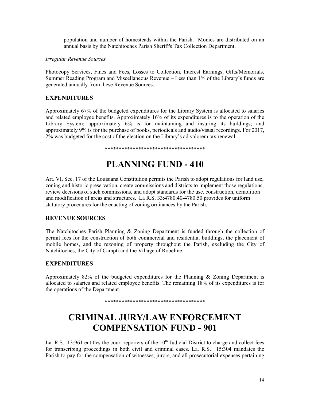population and number of homesteads within the Parish. Monies are distributed on an annual basis by the Natchitoches Parish Sheriff's Tax Collection Department.

#### *Irregular Revenue Sources*

Photocopy Services, Fines and Fees, Losses to Collection, Interest Earnings, Gifts/Memorials, Summer Reading Program and Miscellaneous Revenue – Less than 1% of the Library's funds are generated annually from these Revenue Sources.

# **EXPENDITURES**

Approximately 67% of the budgeted expenditures for the Library System is allocated to salaries and related employee benefits. Approximately 16% of its expenditures is to the operation of the Library System; approximately 6% is for maintaining and insuring its buildings; and approximately 9% is for the purchase of books, periodicals and audio/visual recordings. For 2017, 2% was budgeted for the cost of the election on the Library's ad valorem tax renewal.

\*\*\*\*\*\*\*\*\*\*\*\*\*\*\*\*\*\*\*\*\*\*\*\*\*\*\*\*\*\*\*\*\*\*\*\*

# **PLANNING FUND - 410**

Art. VI, Sec. 17 of the Louisiana Constitution permits the Parish to adopt regulations for land use, zoning and historic preservation, create commissions and districts to implement those regulations, review decisions of such commissions, and adopt standards for the use, construction, demolition and modification of areas and structures. La R.S. 33:4780.40-4780.50 provides for uniform statutory procedures for the enacting of zoning ordinances by the Parish.

# **REVENUE SOURCES**

The Natchitoches Parish Planning & Zoning Department is funded through the collection of permit fees for the construction of both commercial and residential buildings, the placement of mobile homes, and the rezoning of property throughout the Parish, excluding the City of Natchitoches, the City of Campti and the Village of Robeline.

# **EXPENDITURES**

Approximately 82% of the budgeted expenditures for the Planning & Zoning Department is allocated to salaries and related employee benefits. The remaining 18% of its expenditures is for the operations of the Department.

\*\*\*\*\*\*\*\*\*\*\*\*\*\*\*\*\*\*\*\*\*\*\*\*\*\*\*\*\*\*\*\*\*\*\*\*

# **CRIMINAL JURY/LAW ENFORCEMENT COMPENSATION FUND - 901**

La. R.S. 13:961 entitles the court reporters of the 10<sup>th</sup> Judicial District to charge and collect fees for transcribing proceedings in both civil and criminal cases. La. R.S. 15:304 mandates the Parish to pay for the compensation of witnesses, jurors, and all prosecutorial expenses pertaining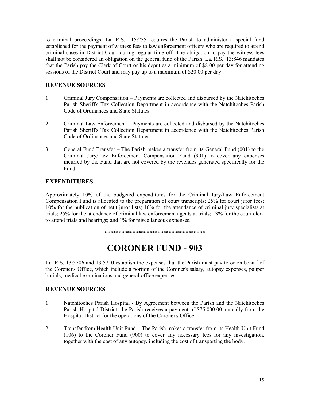to criminal proceedings. La. R.S. 15:255 requires the Parish to administer a special fund established for the payment of witness fees to law enforcement officers who are required to attend criminal cases in District Court during regular time off. The obligation to pay the witness fees shall not be considered an obligation on the general fund of the Parish. La. R.S. 13:846 mandates that the Parish pay the Clerk of Court or his deputies a minimum of \$8.00 per day for attending sessions of the District Court and may pay up to a maximum of \$20.00 per day.

# **REVENUE SOURCES**

- 1. Criminal Jury Compensation Payments are collected and disbursed by the Natchitoches Parish Sheriff's Tax Collection Department in accordance with the Natchitoches Parish Code of Ordinances and State Statutes.
- 2. Criminal Law Enforcement Payments are collected and disbursed by the Natchitoches Parish Sheriff's Tax Collection Department in accordance with the Natchitoches Parish Code of Ordinances and State Statutes.
- 3. General Fund Transfer The Parish makes a transfer from its General Fund (001) to the Criminal Jury/Law Enforcement Compensation Fund (901) to cover any expenses incurred by the Fund that are not covered by the revenues generated specifically for the Fund.

# **EXPENDITURES**

Approximately 10% of the budgeted expenditures for the Criminal Jury/Law Enforcement Compensation Fund is allocated to the preparation of court transcripts; 25% for court juror fees; 10% for the publication of petit juror lists; 16% for the attendance of criminal jury specialists at trials; 25% for the attendance of criminal law enforcement agents at trials; 13% for the court clerk to attend trials and hearings; and 1% for miscellaneous expenses.

\*\*\*\*\*\*\*\*\*\*\*\*\*\*\*\*\*\*\*\*\*\*\*\*\*\*\*\*\*\*\*\*\*\*\*\*

# **CORONER FUND - 903**

La. R.S. 13:5706 and 13:5710 establish the expenses that the Parish must pay to or on behalf of the Coroner's Office, which include a portion of the Coroner's salary, autopsy expenses, pauper burials, medical examinations and general office expenses.

- 1. Natchitoches Parish Hospital By Agreement between the Parish and the Natchitoches Parish Hospital District, the Parish receives a payment of \$75,000.00 annually from the Hospital District for the operations of the Coroner's Office.
- 2. Transfer from Health Unit Fund The Parish makes a transfer from its Health Unit Fund (106) to the Coroner Fund (900) to cover any necessary fees for any investigation, together with the cost of any autopsy, including the cost of transporting the body.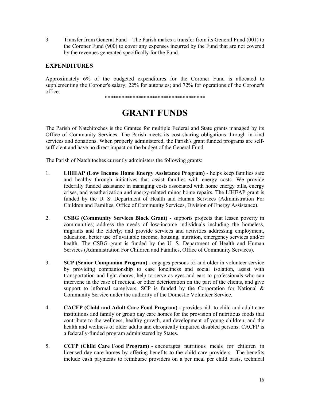3 Transfer from General Fund – The Parish makes a transfer from its General Fund (001) to the Coroner Fund (900) to cover any expenses incurred by the Fund that are not covered by the revenues generated specifically for the Fund.

# **EXPENDITURES**

Approximately 6% of the budgeted expenditures for the Coroner Fund is allocated to supplementing the Coroner's salary; 22% for autopsies; and 72% for operations of the Coroner's office.

\*\*\*\*\*\*\*\*\*\*\*\*\*\*\*\*\*\*\*\*\*\*\*\*\*\*\*\*\*\*\*\*\*\*\*\*

# **GRANT FUNDS**

The Parish of Natchitoches is the Grantee for multiple Federal and State grants managed by its Office of Community Services. The Parish meets its cost-sharing obligations through in-kind services and donations. When properly administered, the Parish's grant funded programs are selfsufficient and have no direct impact on the budget of the General Fund.

The Parish of Natchitoches currently administers the following grants:

- 1. **LIHEAP (Low Income Home Energy Assistance Program)** helps keep families safe and healthy through initiatives that assist families with energy costs. We provide federally funded assistance in managing costs associated with home energy bills, energy crises, and weatherization and energy-related minor home repairs. The LIHEAP grant is funded by the U. S. Department of Health and Human Services (Administration For Children and Families, Office of Community Services, Division of Energy Assistance).
- 2. **CSBG (Community Services Block Grant)** supports projects that lessen poverty in communities; address the needs of low-income individuals including the homeless, migrants and the elderly; and provide services and activities addressing employment, education, better use of available income, housing, nutrition, emergency services and/or health. The CSBG grant is funded by the U. S. Department of Health and Human Services (Administration For Children and Families, Office of Community Services).
- 3. **SCP (Senior Companion Program)** engages persons 55 and older in volunteer service by providing companionship to ease loneliness and social isolation, assist with transportation and light chores, help to serve as eyes and ears to professionals who can intervene in the case of medical or other deterioration on the part of the clients, and give support to informal caregivers. SCP is funded by the Corporation for National  $\&$ Community Service under the authority of the Domestic Volunteer Service.
- 4. **CACFP (Child and Adult Care Food Program)** provides aid to child and adult care institutions and family or group day care homes for the provision of nutritious foods that contribute to the wellness, healthy growth, and development of young children, and the health and wellness of older adults and chronically impaired disabled persons. CACFP is a federally-funded program administered by States.
- 5. **CCFP (Child Care Food Program)** encourages nutritious meals for children in licensed day care homes by offering benefits to the child care providers. The benefits include cash payments to reimburse providers on a per meal per child basis, technical